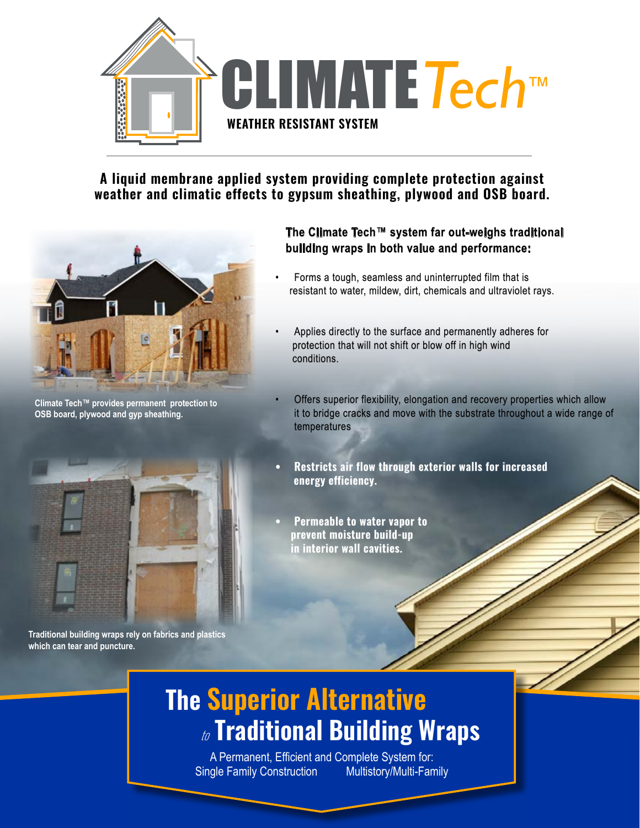

**A liquid membrane applied system providing complete protection against weather and climatic effects to gypsum sheathing, plywood and OSB board.** 



**Climate Tech™ provides permanent protection to OSB board, plywood and gyp sheathing.**

### **The Climate Tech™ system far out-weighs traditional building wraps in both value and performance:**

- Forms a tough, seamless and uninterrupted film that is resistant to water, mildew, dirt, chemicals and ultraviolet rays.
- Applies directly to the surface and permanently adheres for protection that will not shift or blow off in high wind conditions.
- Offers superior flexibility, elongation and recovery properties which allow it to bridge cracks and move with the substrate throughout a wide range of temperatures
- **• Restricts air flow through exterior walls for increased energy efficiency.**
- **• Permeable to water vapor to prevent moisture build-up in interior wall cavities.**

**Traditional building wraps rely on fabrics and plastics which can tear and puncture.**

# **The Superior Alternative** to **Traditional Building Wraps**

A Permanent, Efficient and Complete System for: Single Family Construction Multistory/Multi-Family